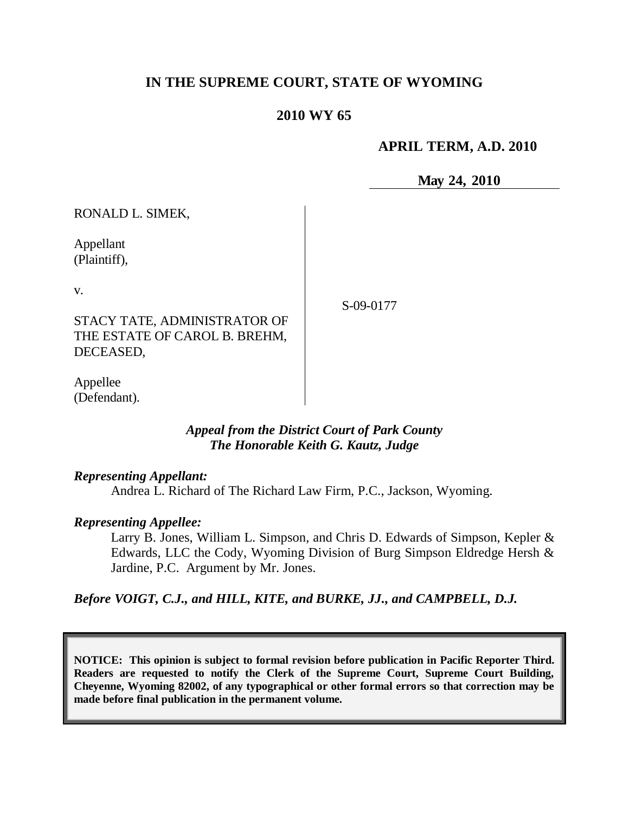# **IN THE SUPREME COURT, STATE OF WYOMING**

# **2010 WY 65**

## **APRIL TERM, A.D. 2010**

**May 24, 2010**

RONALD L. SIMEK,

Appellant (Plaintiff),

v.

STACY TATE, ADMINISTRATOR OF THE ESTATE OF CAROL B. BREHM, DECEASED,

S-09-0177

Appellee (Defendant).

### *Appeal from the District Court of Park County The Honorable Keith G. Kautz, Judge*

### *Representing Appellant:*

Andrea L. Richard of The Richard Law Firm, P.C., Jackson, Wyoming.

# *Representing Appellee:*

Larry B. Jones, William L. Simpson, and Chris D. Edwards of Simpson, Kepler & Edwards, LLC the Cody, Wyoming Division of Burg Simpson Eldredge Hersh & Jardine, P.C. Argument by Mr. Jones.

*Before VOIGT, C.J., and HILL, KITE, and BURKE, JJ., and CAMPBELL, D.J.*

**NOTICE: This opinion is subject to formal revision before publication in Pacific Reporter Third. Readers are requested to notify the Clerk of the Supreme Court, Supreme Court Building, Cheyenne, Wyoming 82002, of any typographical or other formal errors so that correction may be made before final publication in the permanent volume.**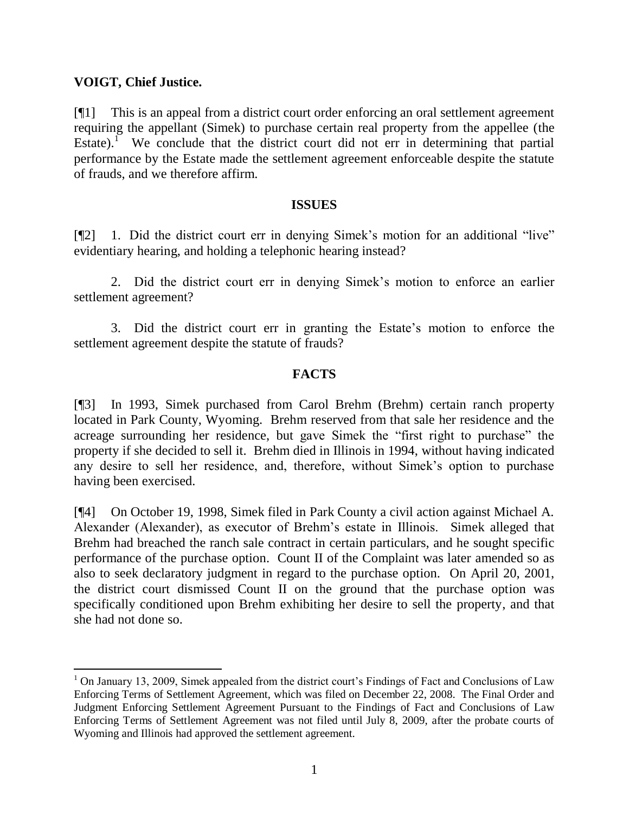## **VOIGT, Chief Justice.**

[¶1] This is an appeal from a district court order enforcing an oral settlement agreement requiring the appellant (Simek) to purchase certain real property from the appellee (the Estate).<sup> $\overline{1}$ </sup> We conclude that the district court did not err in determining that partial performance by the Estate made the settlement agreement enforceable despite the statute of frauds, and we therefore affirm.

#### **ISSUES**

[¶2] 1. Did the district court err in denying Simek"s motion for an additional "live" evidentiary hearing, and holding a telephonic hearing instead?

2. Did the district court err in denying Simek"s motion to enforce an earlier settlement agreement?

3. Did the district court err in granting the Estate"s motion to enforce the settlement agreement despite the statute of frauds?

## **FACTS**

[¶3] In 1993, Simek purchased from Carol Brehm (Brehm) certain ranch property located in Park County, Wyoming. Brehm reserved from that sale her residence and the acreage surrounding her residence, but gave Simek the "first right to purchase" the property if she decided to sell it. Brehm died in Illinois in 1994, without having indicated any desire to sell her residence, and, therefore, without Simek"s option to purchase having been exercised.

[¶4] On October 19, 1998, Simek filed in Park County a civil action against Michael A. Alexander (Alexander), as executor of Brehm"s estate in Illinois. Simek alleged that Brehm had breached the ranch sale contract in certain particulars, and he sought specific performance of the purchase option. Count II of the Complaint was later amended so as also to seek declaratory judgment in regard to the purchase option. On April 20, 2001, the district court dismissed Count II on the ground that the purchase option was specifically conditioned upon Brehm exhibiting her desire to sell the property, and that she had not done so.

  $1$  On January 13, 2009, Simek appealed from the district court's Findings of Fact and Conclusions of Law Enforcing Terms of Settlement Agreement, which was filed on December 22, 2008. The Final Order and Judgment Enforcing Settlement Agreement Pursuant to the Findings of Fact and Conclusions of Law Enforcing Terms of Settlement Agreement was not filed until July 8, 2009, after the probate courts of Wyoming and Illinois had approved the settlement agreement.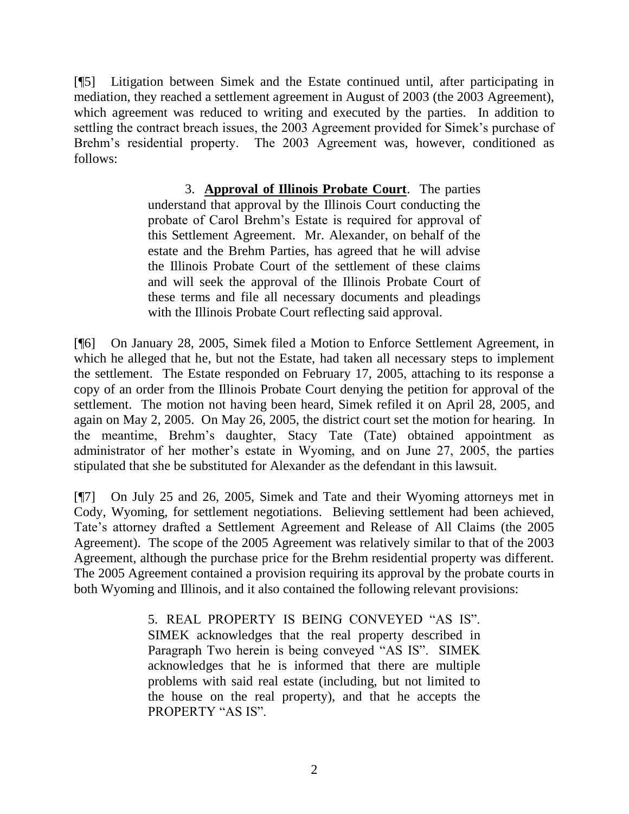[¶5] Litigation between Simek and the Estate continued until, after participating in mediation, they reached a settlement agreement in August of 2003 (the 2003 Agreement), which agreement was reduced to writing and executed by the parties. In addition to settling the contract breach issues, the 2003 Agreement provided for Simek's purchase of Brehm"s residential property. The 2003 Agreement was, however, conditioned as follows:

> 3. **Approval of Illinois Probate Court**. The parties understand that approval by the Illinois Court conducting the probate of Carol Brehm"s Estate is required for approval of this Settlement Agreement. Mr. Alexander, on behalf of the estate and the Brehm Parties, has agreed that he will advise the Illinois Probate Court of the settlement of these claims and will seek the approval of the Illinois Probate Court of these terms and file all necessary documents and pleadings with the Illinois Probate Court reflecting said approval.

[¶6] On January 28, 2005, Simek filed a Motion to Enforce Settlement Agreement, in which he alleged that he, but not the Estate, had taken all necessary steps to implement the settlement. The Estate responded on February 17, 2005, attaching to its response a copy of an order from the Illinois Probate Court denying the petition for approval of the settlement. The motion not having been heard, Simek refiled it on April 28, 2005, and again on May 2, 2005. On May 26, 2005, the district court set the motion for hearing. In the meantime, Brehm"s daughter, Stacy Tate (Tate) obtained appointment as administrator of her mother"s estate in Wyoming, and on June 27, 2005, the parties stipulated that she be substituted for Alexander as the defendant in this lawsuit.

[¶7] On July 25 and 26, 2005, Simek and Tate and their Wyoming attorneys met in Cody, Wyoming, for settlement negotiations. Believing settlement had been achieved, Tate's attorney drafted a Settlement Agreement and Release of All Claims (the 2005 Agreement). The scope of the 2005 Agreement was relatively similar to that of the 2003 Agreement, although the purchase price for the Brehm residential property was different. The 2005 Agreement contained a provision requiring its approval by the probate courts in both Wyoming and Illinois, and it also contained the following relevant provisions:

> 5. REAL PROPERTY IS BEING CONVEYED "AS IS". SIMEK acknowledges that the real property described in Paragraph Two herein is being conveyed "AS IS". SIMEK acknowledges that he is informed that there are multiple problems with said real estate (including, but not limited to the house on the real property), and that he accepts the PROPERTY "AS IS".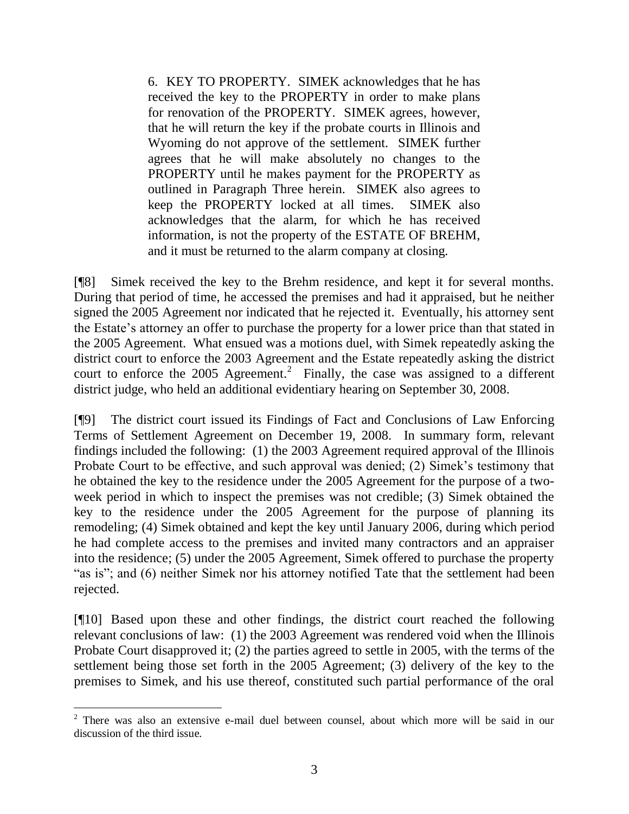6. KEY TO PROPERTY. SIMEK acknowledges that he has received the key to the PROPERTY in order to make plans for renovation of the PROPERTY. SIMEK agrees, however, that he will return the key if the probate courts in Illinois and Wyoming do not approve of the settlement. SIMEK further agrees that he will make absolutely no changes to the PROPERTY until he makes payment for the PROPERTY as outlined in Paragraph Three herein. SIMEK also agrees to keep the PROPERTY locked at all times. SIMEK also acknowledges that the alarm, for which he has received information, is not the property of the ESTATE OF BREHM, and it must be returned to the alarm company at closing.

[¶8] Simek received the key to the Brehm residence, and kept it for several months. During that period of time, he accessed the premises and had it appraised, but he neither signed the 2005 Agreement nor indicated that he rejected it. Eventually, his attorney sent the Estate"s attorney an offer to purchase the property for a lower price than that stated in the 2005 Agreement. What ensued was a motions duel, with Simek repeatedly asking the district court to enforce the 2003 Agreement and the Estate repeatedly asking the district court to enforce the 2005 Agreement.<sup>2</sup> Finally, the case was assigned to a different district judge, who held an additional evidentiary hearing on September 30, 2008.

[¶9] The district court issued its Findings of Fact and Conclusions of Law Enforcing Terms of Settlement Agreement on December 19, 2008. In summary form, relevant findings included the following: (1) the 2003 Agreement required approval of the Illinois Probate Court to be effective, and such approval was denied; (2) Simek's testimony that he obtained the key to the residence under the 2005 Agreement for the purpose of a twoweek period in which to inspect the premises was not credible; (3) Simek obtained the key to the residence under the 2005 Agreement for the purpose of planning its remodeling; (4) Simek obtained and kept the key until January 2006, during which period he had complete access to the premises and invited many contractors and an appraiser into the residence; (5) under the 2005 Agreement, Simek offered to purchase the property "as is"; and (6) neither Simek nor his attorney notified Tate that the settlement had been rejected.

[¶10] Based upon these and other findings, the district court reached the following relevant conclusions of law: (1) the 2003 Agreement was rendered void when the Illinois Probate Court disapproved it; (2) the parties agreed to settle in 2005, with the terms of the settlement being those set forth in the 2005 Agreement; (3) delivery of the key to the premises to Simek, and his use thereof, constituted such partial performance of the oral

<sup>&</sup>lt;sup>2</sup> There was also an extensive e-mail duel between counsel, about which more will be said in our discussion of the third issue.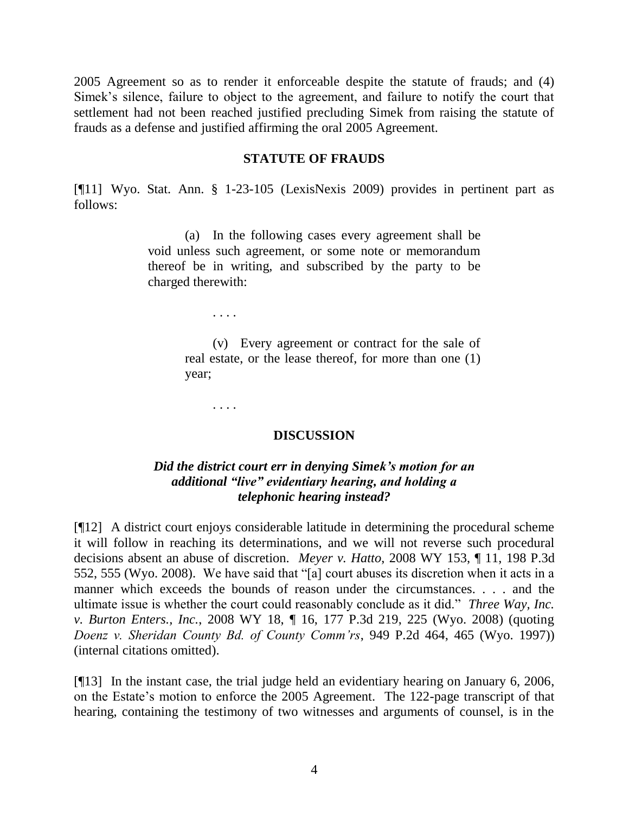2005 Agreement so as to render it enforceable despite the statute of frauds; and (4) Simek's silence, failure to object to the agreement, and failure to notify the court that settlement had not been reached justified precluding Simek from raising the statute of frauds as a defense and justified affirming the oral 2005 Agreement.

#### **STATUTE OF FRAUDS**

[¶11] Wyo. Stat. Ann. § 1-23-105 (LexisNexis 2009) provides in pertinent part as follows:

> (a) In the following cases every agreement shall be void unless such agreement, or some note or memorandum thereof be in writing, and subscribed by the party to be charged therewith:

> > . . . .

(v) Every agreement or contract for the sale of real estate, or the lease thereof, for more than one (1) year;

. . . .

#### **DISCUSSION**

## *Did the district court err in denying Simek's motion for an additional "live" evidentiary hearing, and holding a telephonic hearing instead?*

[¶12] A district court enjoys considerable latitude in determining the procedural scheme it will follow in reaching its determinations, and we will not reverse such procedural decisions absent an abuse of discretion. *Meyer v. Hatto*, 2008 WY 153, ¶ 11, 198 P.3d 552, 555 (Wyo. 2008). We have said that "[a] court abuses its discretion when it acts in a manner which exceeds the bounds of reason under the circumstances. . . . and the ultimate issue is whether the court could reasonably conclude as it did." *Three Way, Inc. v. Burton Enters., Inc.*, 2008 WY 18, ¶ 16, 177 P.3d 219, 225 (Wyo. 2008) (quoting *Doenz v. Sheridan County Bd. of County Comm'rs*, 949 P.2d 464, 465 (Wyo. 1997)) (internal citations omitted).

[¶13] In the instant case, the trial judge held an evidentiary hearing on January 6, 2006, on the Estate's motion to enforce the 2005 Agreement. The 122-page transcript of that hearing, containing the testimony of two witnesses and arguments of counsel, is in the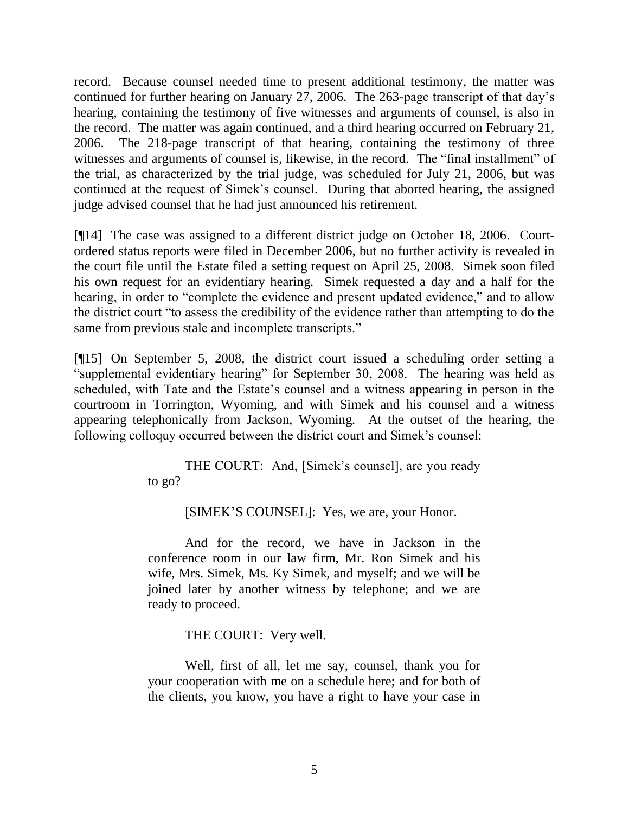record. Because counsel needed time to present additional testimony, the matter was continued for further hearing on January 27, 2006. The 263-page transcript of that day"s hearing, containing the testimony of five witnesses and arguments of counsel, is also in the record. The matter was again continued, and a third hearing occurred on February 21, 2006. The 218-page transcript of that hearing, containing the testimony of three witnesses and arguments of counsel is, likewise, in the record. The "final installment" of the trial, as characterized by the trial judge, was scheduled for July 21, 2006, but was continued at the request of Simek"s counsel. During that aborted hearing, the assigned judge advised counsel that he had just announced his retirement.

[¶14] The case was assigned to a different district judge on October 18, 2006. Courtordered status reports were filed in December 2006, but no further activity is revealed in the court file until the Estate filed a setting request on April 25, 2008. Simek soon filed his own request for an evidentiary hearing. Simek requested a day and a half for the hearing, in order to "complete the evidence and present updated evidence," and to allow the district court "to assess the credibility of the evidence rather than attempting to do the same from previous stale and incomplete transcripts."

[¶15] On September 5, 2008, the district court issued a scheduling order setting a "supplemental evidentiary hearing" for September 30, 2008. The hearing was held as scheduled, with Tate and the Estate's counsel and a witness appearing in person in the courtroom in Torrington, Wyoming, and with Simek and his counsel and a witness appearing telephonically from Jackson, Wyoming. At the outset of the hearing, the following colloquy occurred between the district court and Simek"s counsel:

> THE COURT: And, [Simek's counsel], are you ready to go?

> > [SIMEK"S COUNSEL]: Yes, we are, your Honor.

And for the record, we have in Jackson in the conference room in our law firm, Mr. Ron Simek and his wife, Mrs. Simek, Ms. Ky Simek, and myself; and we will be joined later by another witness by telephone; and we are ready to proceed.

THE COURT: Very well.

Well, first of all, let me say, counsel, thank you for your cooperation with me on a schedule here; and for both of the clients, you know, you have a right to have your case in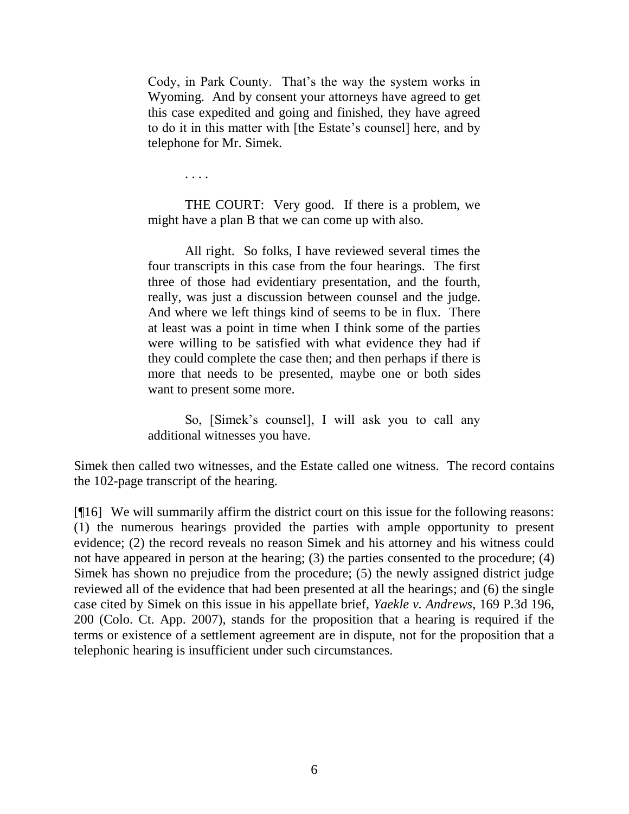Cody, in Park County. That's the way the system works in Wyoming. And by consent your attorneys have agreed to get this case expedited and going and finished, they have agreed to do it in this matter with [the Estate"s counsel] here, and by telephone for Mr. Simek.

. . . .

THE COURT: Very good. If there is a problem, we might have a plan B that we can come up with also.

All right. So folks, I have reviewed several times the four transcripts in this case from the four hearings. The first three of those had evidentiary presentation, and the fourth, really, was just a discussion between counsel and the judge. And where we left things kind of seems to be in flux. There at least was a point in time when I think some of the parties were willing to be satisfied with what evidence they had if they could complete the case then; and then perhaps if there is more that needs to be presented, maybe one or both sides want to present some more.

So, [Simek's counsel], I will ask you to call any additional witnesses you have.

Simek then called two witnesses, and the Estate called one witness. The record contains the 102-page transcript of the hearing.

[¶16] We will summarily affirm the district court on this issue for the following reasons: (1) the numerous hearings provided the parties with ample opportunity to present evidence; (2) the record reveals no reason Simek and his attorney and his witness could not have appeared in person at the hearing; (3) the parties consented to the procedure; (4) Simek has shown no prejudice from the procedure; (5) the newly assigned district judge reviewed all of the evidence that had been presented at all the hearings; and (6) the single case cited by Simek on this issue in his appellate brief, *Yaekle v. Andrews*, 169 P.3d 196, 200 (Colo. Ct. App. 2007), stands for the proposition that a hearing is required if the terms or existence of a settlement agreement are in dispute, not for the proposition that a telephonic hearing is insufficient under such circumstances.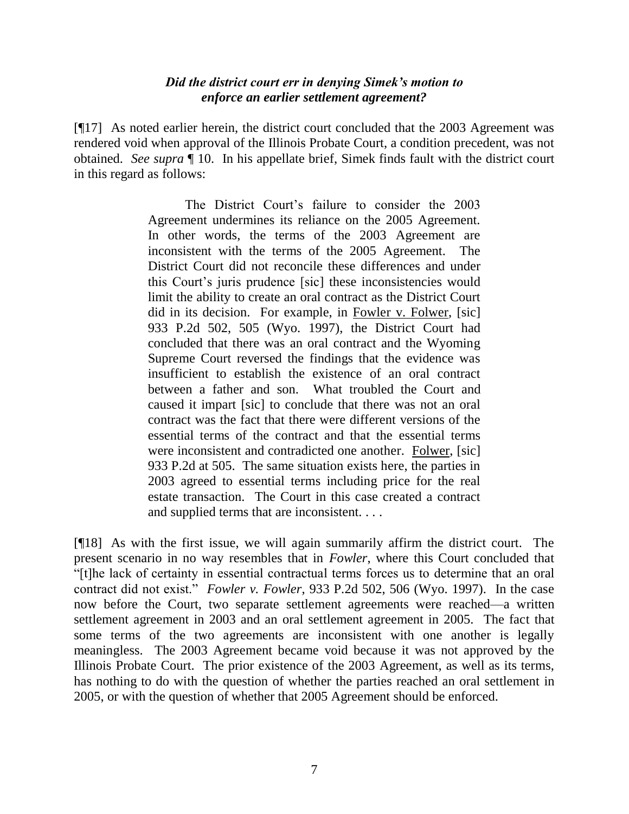### *Did the district court err in denying Simek's motion to enforce an earlier settlement agreement?*

[¶17] As noted earlier herein, the district court concluded that the 2003 Agreement was rendered void when approval of the Illinois Probate Court, a condition precedent, was not obtained. *See supra* ¶ 10. In his appellate brief, Simek finds fault with the district court in this regard as follows:

> The District Court's failure to consider the 2003 Agreement undermines its reliance on the 2005 Agreement. In other words, the terms of the 2003 Agreement are inconsistent with the terms of the 2005 Agreement. The District Court did not reconcile these differences and under this Court"s juris prudence [sic] these inconsistencies would limit the ability to create an oral contract as the District Court did in its decision. For example, in Fowler v. Folwer, [sic] 933 P.2d 502, 505 (Wyo. 1997), the District Court had concluded that there was an oral contract and the Wyoming Supreme Court reversed the findings that the evidence was insufficient to establish the existence of an oral contract between a father and son. What troubled the Court and caused it impart [sic] to conclude that there was not an oral contract was the fact that there were different versions of the essential terms of the contract and that the essential terms were inconsistent and contradicted one another. Folwer, [sic] 933 P.2d at 505. The same situation exists here, the parties in 2003 agreed to essential terms including price for the real estate transaction. The Court in this case created a contract and supplied terms that are inconsistent. . . .

[¶18] As with the first issue, we will again summarily affirm the district court. The present scenario in no way resembles that in *Fowler*, where this Court concluded that "[t]he lack of certainty in essential contractual terms forces us to determine that an oral contract did not exist." *Fowler v. Fowler*, 933 P.2d 502, 506 (Wyo. 1997). In the case now before the Court, two separate settlement agreements were reached—a written settlement agreement in 2003 and an oral settlement agreement in 2005. The fact that some terms of the two agreements are inconsistent with one another is legally meaningless. The 2003 Agreement became void because it was not approved by the Illinois Probate Court. The prior existence of the 2003 Agreement, as well as its terms, has nothing to do with the question of whether the parties reached an oral settlement in 2005, or with the question of whether that 2005 Agreement should be enforced.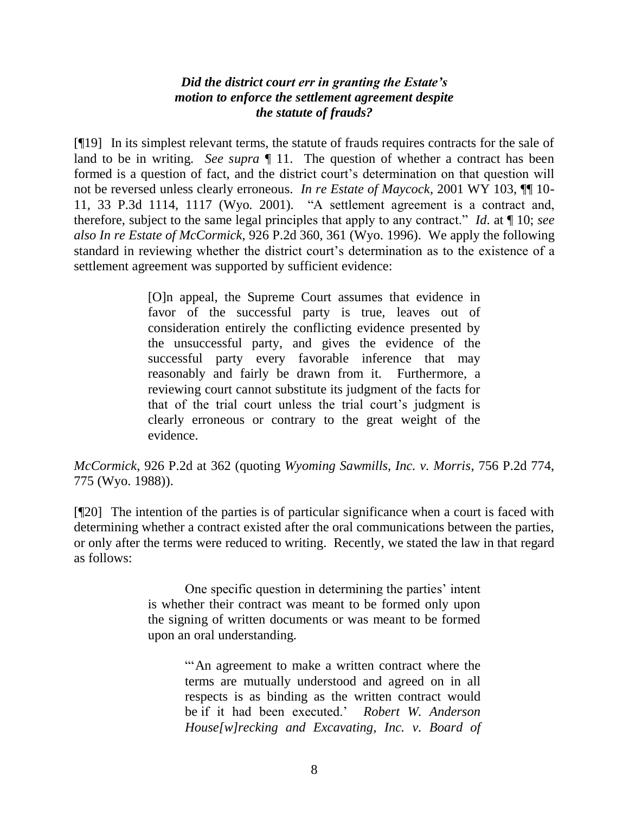# *Did the district court err in granting the Estate's motion to enforce the settlement agreement despite the statute of frauds?*

[¶19] In its simplest relevant terms, the statute of frauds requires contracts for the sale of land to be in writing. *See supra* ¶ 11. The question of whether a contract has been formed is a question of fact, and the district court's determination on that question will not be reversed unless clearly erroneous. *In re Estate of Maycock*, 2001 WY 103, ¶¶ 10- 11, 33 P.3d 1114, 1117 (Wyo. 2001). "A settlement agreement is a contract and, therefore, subject to the same legal principles that apply to any contract." *Id*. at ¶ 10; *see also In re Estate of McCormick*, 926 P.2d 360, 361 (Wyo. 1996). We apply the following standard in reviewing whether the district court's determination as to the existence of a settlement agreement was supported by sufficient evidence:

> [O]n appeal, the Supreme Court assumes that evidence in favor of the successful party is true, leaves out of consideration entirely the conflicting evidence presented by the unsuccessful party, and gives the evidence of the successful party every favorable inference that may reasonably and fairly be drawn from it. Furthermore, a reviewing court cannot substitute its judgment of the facts for that of the trial court unless the trial court"s judgment is clearly erroneous or contrary to the great weight of the evidence.

*McCormick*, 926 P.2d at 362 (quoting *Wyoming Sawmills, Inc. v. Morris*, 756 P.2d 774, 775 (Wyo. 1988)).

[¶20] The intention of the parties is of particular significance when a court is faced with determining whether a contract existed after the oral communications between the parties, or only after the terms were reduced to writing. Recently, we stated the law in that regard as follows:

> One specific question in determining the parties' intent is whether their contract was meant to be formed only upon the signing of written documents or was meant to be formed upon an oral understanding.

> > ""An agreement to make a written contract where the terms are mutually understood and agreed on in all respects is as binding as the written contract would be if it had been executed." *Robert W. Anderson House[w]recking and Excavating, Inc. v. Board of*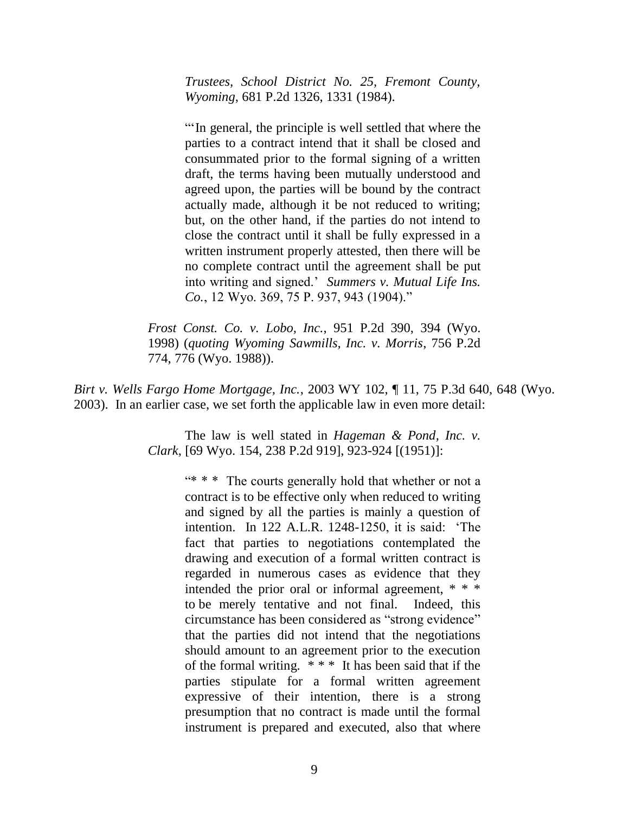*Trustees, School District No. 25, Fremont County, Wyoming*, 681 P.2d 1326, 1331 (1984).

""In general, the principle is well settled that where the parties to a contract intend that it shall be closed and consummated prior to the formal signing of a written draft, the terms having been mutually understood and agreed upon, the parties will be bound by the contract actually made, although it be not reduced to writing; but, on the other hand, if the parties do not intend to close the contract until it shall be fully expressed in a written instrument properly attested, then there will be no complete contract until the agreement shall be put into writing and signed." *Summers v. Mutual Life Ins. Co.*, 12 Wyo. 369, 75 P. 937, 943 (1904)."

*Frost Const. Co. v. Lobo, Inc.*, 951 P.2d 390, 394 (Wyo. 1998) (*quoting Wyoming Sawmills, Inc. v. Morris*, 756 P.2d 774, 776 (Wyo. 1988)).

*Birt v. Wells Fargo Home Mortgage, Inc.*, 2003 WY 102, ¶ 11, 75 P.3d 640, 648 (Wyo. 2003). In an earlier case, we set forth the applicable law in even more detail:

> The law is well stated in *Hageman & Pond, Inc. v. Clark*, [69 Wyo. 154, 238 P.2d 919], 923-924 [(1951)]:

> > "\* \* \* The courts generally hold that whether or not a contract is to be effective only when reduced to writing and signed by all the parties is mainly a question of intention. In 122 A.L.R. 1248-1250, it is said: "The fact that parties to negotiations contemplated the drawing and execution of a formal written contract is regarded in numerous cases as evidence that they intended the prior oral or informal agreement, \* \* \* to be merely tentative and not final. Indeed, this circumstance has been considered as "strong evidence" that the parties did not intend that the negotiations should amount to an agreement prior to the execution of the formal writing. \* \* \* It has been said that if the parties stipulate for a formal written agreement expressive of their intention, there is a strong presumption that no contract is made until the formal instrument is prepared and executed, also that where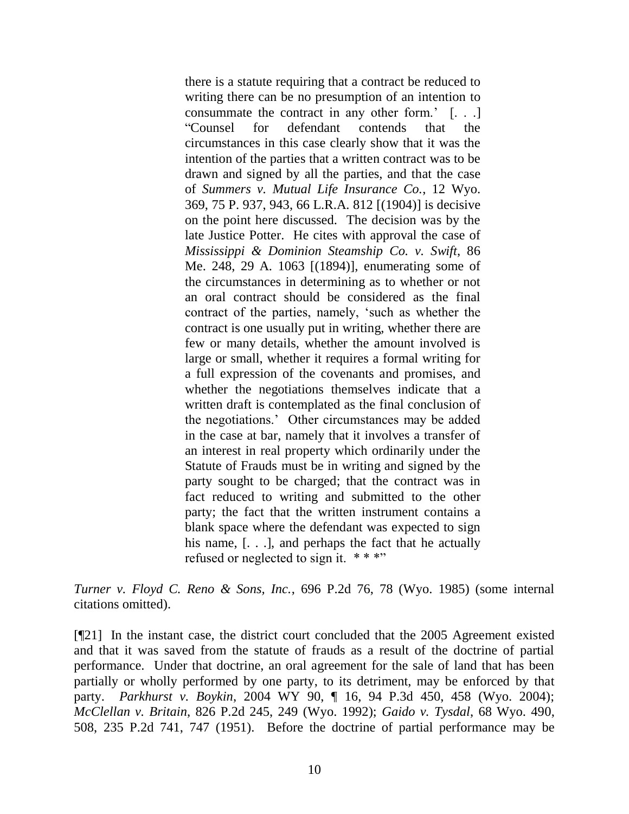there is a statute requiring that a contract be reduced to writing there can be no presumption of an intention to consummate the contract in any other form." [. . .] "Counsel for defendant contends that the circumstances in this case clearly show that it was the intention of the parties that a written contract was to be drawn and signed by all the parties, and that the case of *Summers v. Mutual Life Insurance Co.*, 12 Wyo. 369, 75 P. 937, 943, 66 L.R.A. 812 [(1904)] is decisive on the point here discussed. The decision was by the late Justice Potter. He cites with approval the case of *Mississippi & Dominion Steamship Co. v. Swift*, 86 Me. 248, 29 A. 1063 [(1894)], enumerating some of the circumstances in determining as to whether or not an oral contract should be considered as the final contract of the parties, namely, "such as whether the contract is one usually put in writing, whether there are few or many details, whether the amount involved is large or small, whether it requires a formal writing for a full expression of the covenants and promises, and whether the negotiations themselves indicate that a written draft is contemplated as the final conclusion of the negotiations." Other circumstances may be added in the case at bar, namely that it involves a transfer of an interest in real property which ordinarily under the Statute of Frauds must be in writing and signed by the party sought to be charged; that the contract was in fact reduced to writing and submitted to the other party; the fact that the written instrument contains a blank space where the defendant was expected to sign his name,  $[...]$ , and perhaps the fact that he actually refused or neglected to sign it. \*\*\*"

*Turner v. Floyd C. Reno & Sons, Inc.*, 696 P.2d 76, 78 (Wyo. 1985) (some internal citations omitted).

[¶21] In the instant case, the district court concluded that the 2005 Agreement existed and that it was saved from the statute of frauds as a result of the doctrine of partial performance. Under that doctrine, an oral agreement for the sale of land that has been partially or wholly performed by one party, to its detriment, may be enforced by that party. *Parkhurst v. Boykin*, 2004 WY 90, ¶ 16, 94 P.3d 450, 458 (Wyo. 2004); *McClellan v. Britain*, 826 P.2d 245, 249 (Wyo. 1992); *Gaido v. Tysdal*, 68 Wyo. 490, 508, 235 P.2d 741, 747 (1951). Before the doctrine of partial performance may be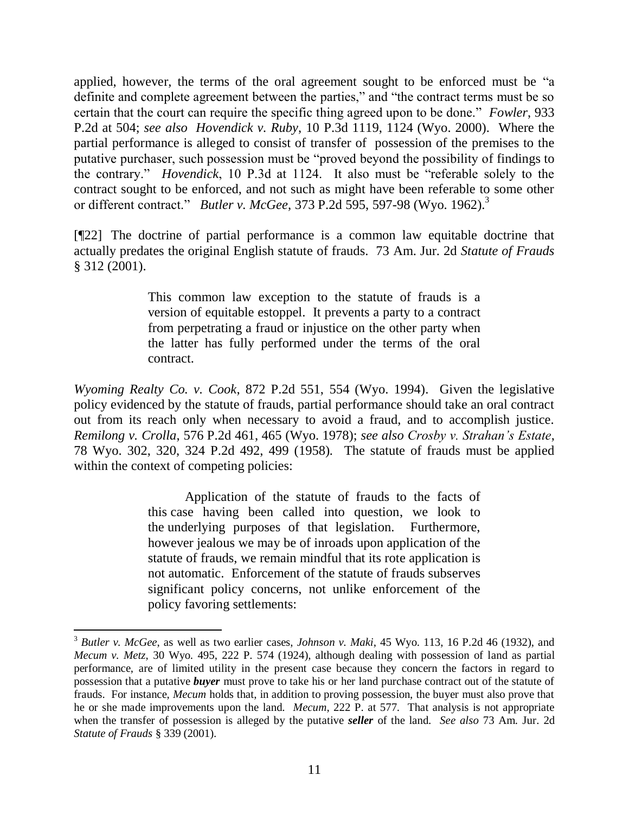applied, however, the terms of the oral agreement sought to be enforced must be "a definite and complete agreement between the parties," and "the contract terms must be so certain that the court can require the specific thing agreed upon to be done." *Fowler*, 933 P.2d at 504; *see also Hovendick v. Ruby*, 10 P.3d 1119, 1124 (Wyo. 2000). Where the partial performance is alleged to consist of transfer of possession of the premises to the putative purchaser, such possession must be "proved beyond the possibility of findings to the contrary." *Hovendick*, 10 P.3d at 1124. It also must be "referable solely to the contract sought to be enforced, and not such as might have been referable to some other or different contract." *Butler v. McGee*, 373 P.2d 595, 597-98 (Wyo. 1962).<sup>3</sup>

[¶22] The doctrine of partial performance is a common law equitable doctrine that actually predates the original English statute of frauds. 73 Am. Jur. 2d *Statute of Frauds* § 312 (2001).

> This common law exception to the statute of frauds is a version of equitable estoppel. It prevents a party to a contract from perpetrating a fraud or injustice on the other party when the latter has fully performed under the terms of the oral contract.

*Wyoming Realty Co. v. Cook*, 872 P.2d 551, 554 (Wyo. 1994). Given the legislative policy evidenced by the statute of frauds, partial performance should take an oral contract out from its reach only when necessary to avoid a fraud, and to accomplish justice. *Remilong v. Crolla*, 576 P.2d 461, 465 (Wyo. 1978); *see also Crosby v. Strahan's Estate*, 78 Wyo. 302, 320, 324 P.2d 492, 499 (1958)*.* The statute of frauds must be applied within the context of competing policies:

> Application of the statute of frauds to the facts of this case having been called into question, we look to the underlying purposes of that legislation. Furthermore, however jealous we may be of inroads upon application of the statute of frauds, we remain mindful that its rote application is not automatic. Enforcement of the statute of frauds subserves significant policy concerns, not unlike enforcement of the policy favoring settlements:

<sup>3</sup> *Butler v. McGee*, as well as two earlier cases, *Johnson v. Maki*, 45 Wyo. 113, 16 P.2d 46 (1932), and *Mecum v. Metz*, 30 Wyo. 495, 222 P. 574 (1924), although dealing with possession of land as partial performance, are of limited utility in the present case because they concern the factors in regard to possession that a putative *buyer* must prove to take his or her land purchase contract out of the statute of frauds. For instance, *Mecum* holds that, in addition to proving possession, the buyer must also prove that he or she made improvements upon the land. *Mecum*, 222 P. at 577. That analysis is not appropriate when the transfer of possession is alleged by the putative *seller* of the land. *See also* 73 Am. Jur. 2d *Statute of Frauds* § 339 (2001).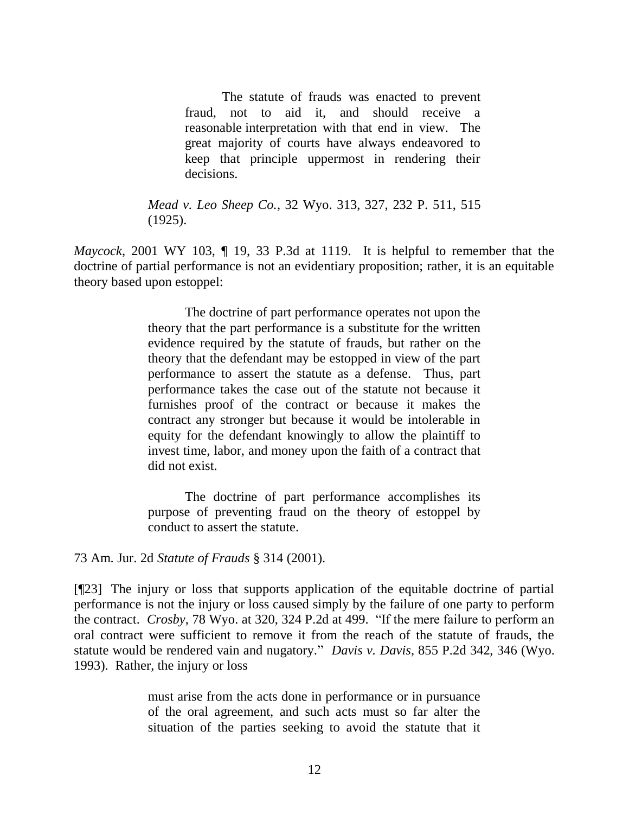The statute of frauds was enacted to prevent fraud, not to aid it, and should receive a reasonable interpretation with that end in view. The great majority of courts have always endeavored to keep that principle uppermost in rendering their decisions.

*Mead v. Leo Sheep Co.*, 32 Wyo. 313, 327, 232 P. 511, 515 (1925).

*Maycock*, 2001 WY 103, ¶ 19, 33 P.3d at 1119. It is helpful to remember that the doctrine of partial performance is not an evidentiary proposition; rather, it is an equitable theory based upon estoppel:

> The doctrine of part performance operates not upon the theory that the part performance is a substitute for the written evidence required by the statute of frauds, but rather on the theory that the defendant may be estopped in view of the part performance to assert the statute as a defense. Thus, part performance takes the case out of the statute not because it furnishes proof of the contract or because it makes the contract any stronger but because it would be intolerable in equity for the defendant knowingly to allow the plaintiff to invest time, labor, and money upon the faith of a contract that did not exist.

> The doctrine of part performance accomplishes its purpose of preventing fraud on the theory of estoppel by conduct to assert the statute.

73 Am. Jur. 2d *Statute of Frauds* § 314 (2001).

[¶23] The injury or loss that supports application of the equitable doctrine of partial performance is not the injury or loss caused simply by the failure of one party to perform the contract. *Crosby*, 78 Wyo. at 320, 324 P.2d at 499. "If the mere failure to perform an oral contract were sufficient to remove it from the reach of the statute of frauds, the statute would be rendered vain and nugatory." *Davis v. Davis*, 855 P.2d 342, 346 (Wyo. 1993). Rather, the injury or loss

> must arise from the acts done in performance or in pursuance of the oral agreement, and such acts must so far alter the situation of the parties seeking to avoid the statute that it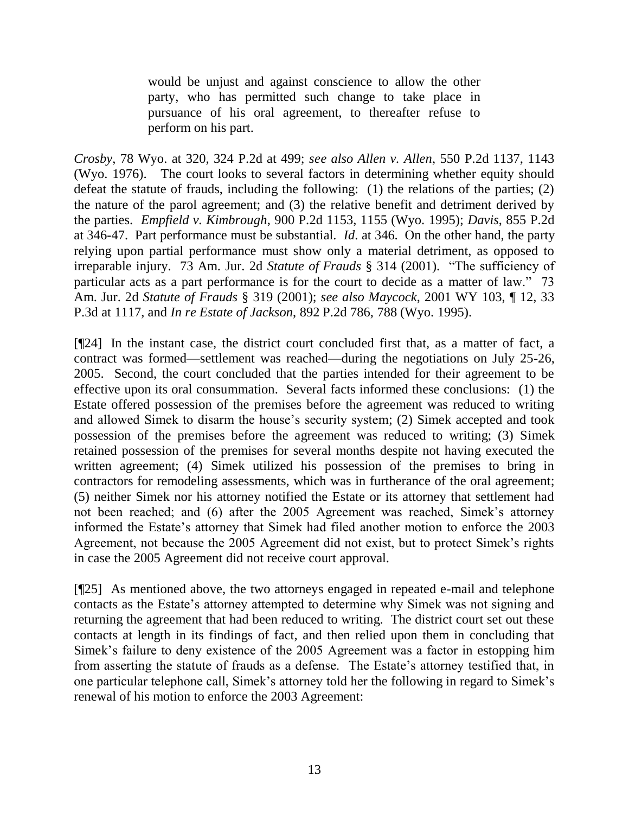would be unjust and against conscience to allow the other party, who has permitted such change to take place in pursuance of his oral agreement, to thereafter refuse to perform on his part.

*Crosby*, 78 Wyo. at 320, 324 P.2d at 499; *see also Allen v. Allen*, 550 P.2d 1137, 1143 (Wyo. 1976). The court looks to several factors in determining whether equity should defeat the statute of frauds, including the following: (1) the relations of the parties; (2) the nature of the parol agreement; and (3) the relative benefit and detriment derived by the parties. *Empfield v. Kimbrough*, 900 P.2d 1153, 1155 (Wyo. 1995); *Davis*, 855 P.2d at 346-47. Part performance must be substantial. *Id*. at 346. On the other hand, the party relying upon partial performance must show only a material detriment, as opposed to irreparable injury. 73 Am. Jur. 2d *Statute of Frauds* § 314 (2001). "The sufficiency of particular acts as a part performance is for the court to decide as a matter of law." 73 Am. Jur. 2d *Statute of Frauds* § 319 (2001); *see also Maycock*, 2001 WY 103, ¶ 12, 33 P.3d at 1117, and *In re Estate of Jackson*, 892 P.2d 786, 788 (Wyo. 1995).

[¶24] In the instant case, the district court concluded first that, as a matter of fact, a contract was formed—settlement was reached—during the negotiations on July 25-26, 2005. Second, the court concluded that the parties intended for their agreement to be effective upon its oral consummation. Several facts informed these conclusions: (1) the Estate offered possession of the premises before the agreement was reduced to writing and allowed Simek to disarm the house's security system; (2) Simek accepted and took possession of the premises before the agreement was reduced to writing; (3) Simek retained possession of the premises for several months despite not having executed the written agreement; (4) Simek utilized his possession of the premises to bring in contractors for remodeling assessments, which was in furtherance of the oral agreement; (5) neither Simek nor his attorney notified the Estate or its attorney that settlement had not been reached; and (6) after the 2005 Agreement was reached, Simek"s attorney informed the Estate"s attorney that Simek had filed another motion to enforce the 2003 Agreement, not because the 2005 Agreement did not exist, but to protect Simek"s rights in case the 2005 Agreement did not receive court approval.

[¶25] As mentioned above, the two attorneys engaged in repeated e-mail and telephone contacts as the Estate"s attorney attempted to determine why Simek was not signing and returning the agreement that had been reduced to writing. The district court set out these contacts at length in its findings of fact, and then relied upon them in concluding that Simek's failure to deny existence of the 2005 Agreement was a factor in estopping him from asserting the statute of frauds as a defense. The Estate"s attorney testified that, in one particular telephone call, Simek"s attorney told her the following in regard to Simek"s renewal of his motion to enforce the 2003 Agreement: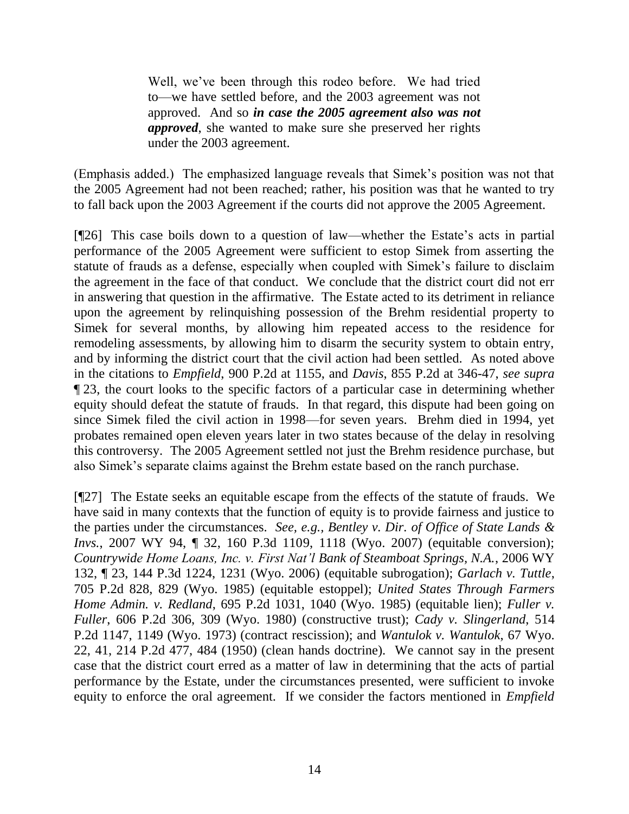Well, we've been through this rodeo before. We had tried to—we have settled before, and the 2003 agreement was not approved. And so *in case the 2005 agreement also was not approved*, she wanted to make sure she preserved her rights under the 2003 agreement.

(Emphasis added.) The emphasized language reveals that Simek"s position was not that the 2005 Agreement had not been reached; rather, his position was that he wanted to try to fall back upon the 2003 Agreement if the courts did not approve the 2005 Agreement.

[¶26] This case boils down to a question of law—whether the Estate's acts in partial performance of the 2005 Agreement were sufficient to estop Simek from asserting the statute of frauds as a defense, especially when coupled with Simek"s failure to disclaim the agreement in the face of that conduct. We conclude that the district court did not err in answering that question in the affirmative. The Estate acted to its detriment in reliance upon the agreement by relinquishing possession of the Brehm residential property to Simek for several months, by allowing him repeated access to the residence for remodeling assessments, by allowing him to disarm the security system to obtain entry, and by informing the district court that the civil action had been settled. As noted above in the citations to *Empfield*, 900 P.2d at 1155, and *Davis*, 855 P.2d at 346-47, *see supra* ¶ 23, the court looks to the specific factors of a particular case in determining whether equity should defeat the statute of frauds. In that regard, this dispute had been going on since Simek filed the civil action in 1998—for seven years. Brehm died in 1994, yet probates remained open eleven years later in two states because of the delay in resolving this controversy. The 2005 Agreement settled not just the Brehm residence purchase, but also Simek"s separate claims against the Brehm estate based on the ranch purchase.

[¶27] The Estate seeks an equitable escape from the effects of the statute of frauds. We have said in many contexts that the function of equity is to provide fairness and justice to the parties under the circumstances. *See, e.g., Bentley v. Dir. of Office of State Lands & Invs.*, 2007 WY 94, ¶ 32, 160 P.3d 1109, 1118 (Wyo. 2007) (equitable conversion); *Countrywide Home Loans, Inc. v. First Nat'l Bank of Steamboat Springs, N.A.*, 2006 WY 132, ¶ 23, 144 P.3d 1224, 1231 (Wyo. 2006) (equitable subrogation); *Garlach v. Tuttle*, 705 P.2d 828, 829 (Wyo. 1985) (equitable estoppel); *United States Through Farmers Home Admin. v. Redland*, 695 P.2d 1031, 1040 (Wyo. 1985) (equitable lien); *Fuller v. Fuller*, 606 P.2d 306, 309 (Wyo. 1980) (constructive trust); *Cady v. Slingerland*, 514 P.2d 1147, 1149 (Wyo. 1973) (contract rescission); and *Wantulok v. Wantulok*, 67 Wyo. 22, 41, 214 P.2d 477, 484 (1950) (clean hands doctrine). We cannot say in the present case that the district court erred as a matter of law in determining that the acts of partial performance by the Estate, under the circumstances presented, were sufficient to invoke equity to enforce the oral agreement. If we consider the factors mentioned in *Empfield*